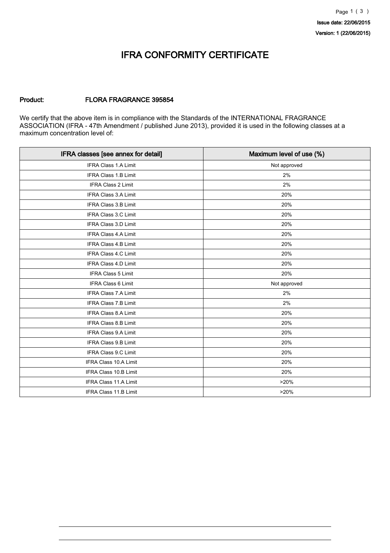### IFRA CONFORMITY CERTIFICATE

#### Product: FLORA FRAGRANCE 395854

We certify that the above item is in compliance with the Standards of the INTERNATIONAL FRAGRANCE ASSOCIATION (IFRA - 47th Amendment / published June 2013), provided it is used in the following classes at a maximum concentration level of:

| IFRA classes [see annex for detail] | Maximum level of use (%) |
|-------------------------------------|--------------------------|
| <b>IFRA Class 1.A Limit</b>         | Not approved             |
| <b>IFRA Class 1.B Limit</b>         | 2%                       |
| <b>IFRA Class 2 Limit</b>           | 2%                       |
| <b>IFRA Class 3.A Limit</b>         | 20%                      |
| <b>IFRA Class 3.B Limit</b>         | 20%                      |
| IFRA Class 3.C Limit                | 20%                      |
| <b>IFRA Class 3.D Limit</b>         | 20%                      |
| IFRA Class 4.A Limit                | 20%                      |
| <b>IFRA Class 4.B Limit</b>         | 20%                      |
| IFRA Class 4.C Limit                | 20%                      |
| <b>IFRA Class 4.D Limit</b>         | 20%                      |
| IFRA Class 5 Limit                  | 20%                      |
| IFRA Class 6 Limit                  | Not approved             |
| IFRA Class 7.A Limit                | 2%                       |
| IFRA Class 7.B Limit                | 2%                       |
| IFRA Class 8.A Limit                | 20%                      |
| <b>IFRA Class 8.B Limit</b>         | 20%                      |
| IFRA Class 9.A Limit                | 20%                      |
| IFRA Class 9.B Limit                | 20%                      |
| <b>IFRA Class 9.C Limit</b>         | 20%                      |
| IFRA Class 10.A Limit               | 20%                      |
| <b>IFRA Class 10.B Limit</b>        | 20%                      |
| IFRA Class 11.A Limit               | >20%                     |
| IFRA Class 11.B Limit               | >20%                     |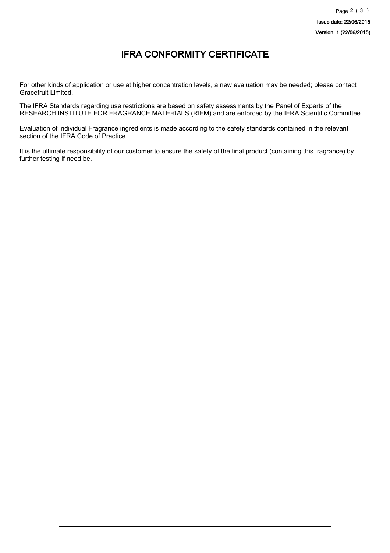## IFRA CONFORMITY CERTIFICATE

For other kinds of application or use at higher concentration levels, a new evaluation may be needed; please contact Gracefruit Limited.

The IFRA Standards regarding use restrictions are based on safety assessments by the Panel of Experts of the RESEARCH INSTITUTE FOR FRAGRANCE MATERIALS (RIFM) and are enforced by the IFRA Scientific Committee.

Evaluation of individual Fragrance ingredients is made according to the safety standards contained in the relevant section of the IFRA Code of Practice.

It is the ultimate responsibility of our customer to ensure the safety of the final product (containing this fragrance) by further testing if need be.